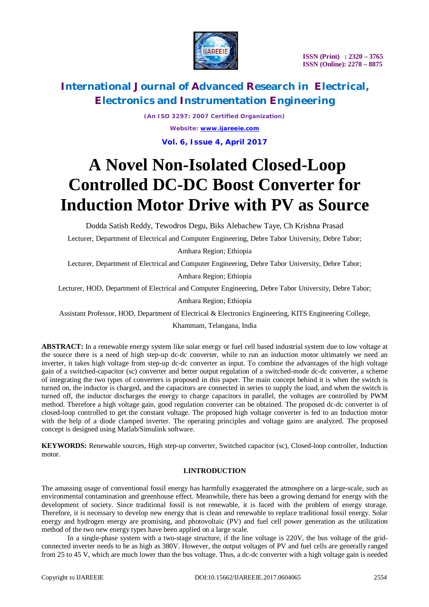

*(An ISO 3297: 2007 Certified Organization) Website: [www.ijareeie.com](http://www.ijareeie.com)* **Vol. 6, Issue 4, April 2017**

# **A Novel Non-Isolated Closed-Loop Controlled DC-DC Boost Converter for Induction Motor Drive with PV as Source**

Dodda Satish Reddy, Tewodros Degu, Biks Alebachew Taye, Ch Krishna Prasad

Lecturer, Department of Electrical and Computer Engineering, Debre Tabor University, Debre Tabor;

Amhara Region; Ethiopia

Lecturer, Department of Electrical and Computer Engineering, Debre Tabor University, Debre Tabor;

Amhara Region; Ethiopia

Lecturer, HOD, Department of Electrical and Computer Engineering, Debre Tabor University, Debre Tabor;

Amhara Region; Ethiopia

Assistant Professor, HOD, Department of Electrical & Electronics Engineering, KITS Engineering College,

Khammam, Telangana, India

**ABSTRACT:** In a renewable energy system like solar energy or fuel cell based industrial system due to low voltage at the source there is a need of high step-up dc-dc converter, while to run an induction motor ultimately we need an inverter, it takes high voltage from step-up dc-dc converter as input. To combine the advantages of the high voltage gain of a switched-capacitor (sc) converter and better output regulation of a switched-mode dc-dc converter, a scheme of integrating the two types of converters is proposed in this paper. The main concept behind it is when the switch is turned on, the inductor is charged, and the capacitors are connected in series to supply the load, and when the switch is turned off, the inductor discharges the energy to charge capacitors in parallel, the voltages are controlled by PWM method. Therefore a high voltage gain, good regulation converter can be obtained. The proposed dc-dc converter is of closed-loop controlled to get the constant voltage. The proposed high voltage converter is fed to an Induction motor with the help of a diode clamped inverter. The operating principles and voltage gains are analyzed. The proposed concept is designed using Matlab/Simulink software.

**KEYWORDS:** Renewable sources, High step-up converter, Switched capacitor (sc), Closed-loop controller, Induction motor.

#### **I.INTRODUCTION**

The amassing usage of conventional fossil energy has harmfully exaggerated the atmosphere on a large-scale, such as environmental contamination and greenhouse effect. Meanwhile, there has been a growing demand for energy with the development of society. Since traditional fossil is not renewable, it is faced with the problem of energy storage. Therefore, it is necessary to develop new energy that is clean and renewable to replace traditional fossil energy. Solar energy and hydrogen energy are promising, and photovoltaic (PV) and fuel cell power generation as the utilization method of the two new energy types have been applied on a large scale.

In a single-phase system with a two-stage structure, if the line voltage is 220V, the bus voltage of the gridconnected inverter needs to be as high as 380V. However, the output voltages of PV and fuel cells are generally ranged from 25 to 45 V, which are much lower than the bus voltage. Thus, a dc-dc converter with a high voltage gain is needed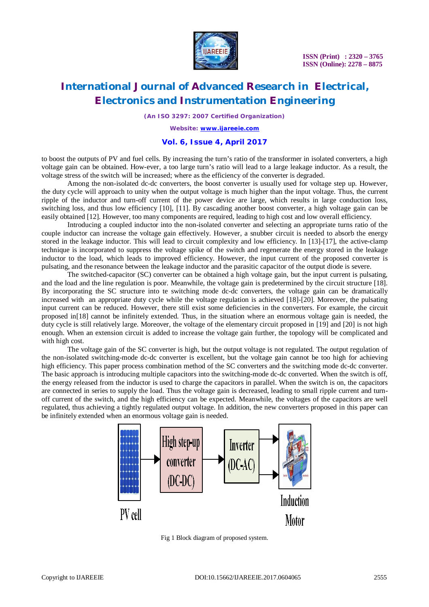

**ISSN (Print) : 2320 – 3765 ISSN (Online): 2278 – 8875**

### **International Journal of Advanced Research in Electrical, Electronics and Instrumentation Engineering**

*(An ISO 3297: 2007 Certified Organization)*

*Website: [www.ijareeie.com](http://www.ijareeie.com)*

#### **Vol. 6, Issue 4, April 2017**

to boost the outputs of PV and fuel cells. By increasing the turn's ratio of the transformer in isolated converters, a high voltage gain can be obtained. How-ever, a too large turn's ratio will lead to a large leakage inductor. As a result, the voltage stress of the switch will be increased; where as the efficiency of the converter is degraded.

Among the non-isolated dc-dc converters, the boost converter is usually used for voltage step up. However, the duty cycle will approach to unity when the output voltage is much higher than the input voltage. Thus, the current ripple of the inductor and turn-off current of the power device are large, which results in large conduction loss, switching loss, and thus low efficiency [10], [11]. By cascading another boost converter, a high voltage gain can be easily obtained [12]. However, too many components are required, leading to high cost and low overall efficiency.

Introducing a coupled inductor into the non-isolated converter and selecting an appropriate turns ratio of the couple inductor can increase the voltage gain effectively. However, a snubber circuit is needed to absorb the energy stored in the leakage inductor. This will lead to circuit complexity and low efficiency. In [13]-[17], the active-clamp technique is incorporated to suppress the voltage spike of the switch and regenerate the energy stored in the leakage inductor to the load, which leads to improved efficiency. However, the input current of the proposed converter is pulsating, and the resonance between the leakage inductor and the parasitic capacitor of the output diode is severe.

The switched-capacitor (SC) converter can be obtained a high voltage gain, but the input current is pulsating, and the load and the line regulation is poor. Meanwhile, the voltage gain is predetermined by the circuit structure [18]. By incorporating the SC structure into te switching mode dc-dc converters, the voltage gain can be dramatically increased with an appropriate duty cycle while the voltage regulation is achieved [18]-[20]. Moreover, the pulsating input current can be reduced. However, there still exist some deficiencies in the converters. For example, the circuit proposed in[18] cannot be infinitely extended. Thus, in the situation where an enormous voltage gain is needed, the duty cycle is still relatively large. Moreover, the voltage of the elementary circuit proposed in [19] and [20] is not high enough. When an extension circuit is added to increase the voltage gain further, the topology will be complicated and with high cost.

The voltage gain of the SC converter is high, but the output voltage is not regulated. The output regulation of the non-isolated switching-mode dc-dc converter is excellent, but the voltage gain cannot be too high for achieving high efficiency. This paper process combination method of the SC converters and the switching mode dc-dc converter. The basic approach is introducing multiple capacitors into the switching-mode dc-dc converted. When the switch is off, the energy released from the inductor is used to charge the capacitors in parallel. When the switch is on, the capacitors are connected in series to supply the load. Thus the voltage gain is decreased, leading to small ripple current and turnoff current of the switch, and the high efficiency can be expected. Meanwhile, the voltages of the capacitors are well regulated, thus achieving a tightly regulated output voltage. In addition, the new converters proposed in this paper can be infinitely extended when an enormous voltage gain is needed.



Fig 1 Block diagram of proposed system.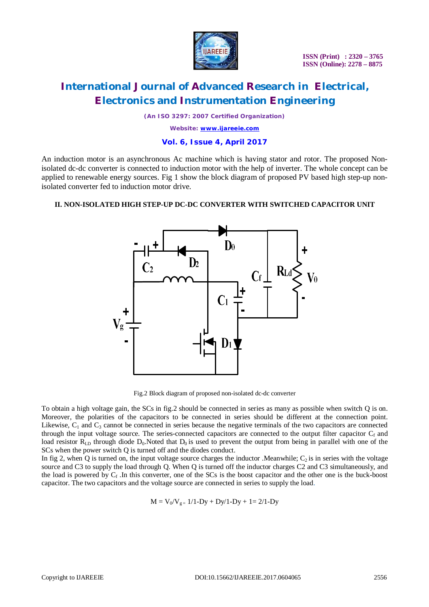

*(An ISO 3297: 2007 Certified Organization)*

*Website: [www.ijareeie.com](http://www.ijareeie.com)*

#### **Vol. 6, Issue 4, April 2017**

An induction motor is an asynchronous Ac machine which is having stator and rotor. The proposed Nonisolated dc-dc converter is connected to induction motor with the help of inverter. The whole concept can be applied to renewable energy sources. Fig 1 show the block diagram of proposed PV based high step-up nonisolated converter fed to induction motor drive.

### **II. NON-ISOLATED HIGH STEP-UP DC-DC CONVERTER WITH SWITCHED CAPACITOR UNIT**



Fig.2 Block diagram of proposed non-isolated dc-dc converter

To obtain a high voltage gain, the SCs in fig.2 should be connected in series as many as possible when switch Q is on. Moreover, the polarities of the capacitors to be connected in series should be different at the connection point. Likewise,  $C_1$  and  $C_3$  cannot be connected in series because the negative terminals of the two capacitors are connected through the input voltage source. The series-connected capacitors are connected to the output filter capacitor  $C_f$  and load resistor  $R_{LD}$  through diode  $D_0$ . Noted that  $D_0$  is used to prevent the output from being in parallel with one of the SCs when the power switch Q is turned off and the diodes conduct.

In fig 2, when Q is turned on, the input voltage source charges the inductor .Meanwhile;  $C_2$  is in series with the voltage source and C3 to supply the load through Q. When Q is turned off the inductor charges C2 and C3 simultaneously, and the load is powered by  $C_f$ . In this converter, one of the SCs is the boost capacitor and the other one is the buck-boost capacitor. The two capacitors and the voltage source are connected in series to supply the load.

$$
M = V_0/V_{g=} \ 1/1\text{-}Dy + Dy/1\text{-}Dy + 1 = 2/1\text{-}Dy
$$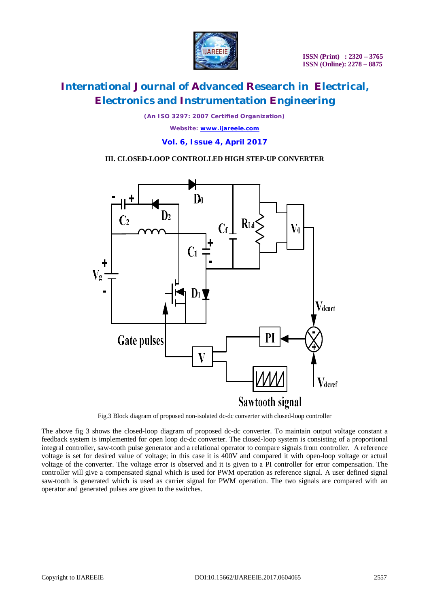

*(An ISO 3297: 2007 Certified Organization) Website: [www.ijareeie.com](http://www.ijareeie.com)* **Vol. 6, Issue 4, April 2017**

### **III. CLOSED-LOOP CONTROLLED HIGH STEP-UP CONVERTER**



Fig.3 Block diagram of proposed non-isolated dc-dc converter with closed-loop controller

The above fig 3 shows the closed-loop diagram of proposed dc-dc converter. To maintain output voltage constant a feedback system is implemented for open loop dc-dc converter. The closed-loop system is consisting of a proportional integral controller, saw-tooth pulse generator and a relational operator to compare signals from controller. A reference voltage is set for desired value of voltage; in this case it is 400V and compared it with open-loop voltage or actual voltage of the converter. The voltage error is observed and it is given to a PI controller for error compensation. The controller will give a compensated signal which is used for PWM operation as reference signal. A user defined signal saw-tooth is generated which is used as carrier signal for PWM operation. The two signals are compared with an operator and generated pulses are given to the switches.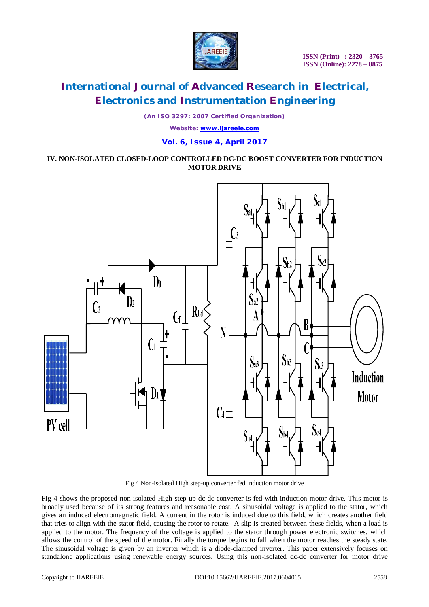

*(An ISO 3297: 2007 Certified Organization)*

*Website: [www.ijareeie.com](http://www.ijareeie.com)*

### **Vol. 6, Issue 4, April 2017**

### **IV. NON-ISOLATED CLOSED-LOOP CONTROLLED DC-DC BOOST CONVERTER FOR INDUCTION MOTOR DRIVE**



Fig 4 Non-isolated High step-up converter fed Induction motor drive

Fig 4 shows the proposed non-isolated High step-up dc-dc converter is fed with induction motor drive. This motor is broadly used because of its strong features and reasonable cost. A sinusoidal voltage is applied to the stator, which gives an induced electromagnetic field. A current in the rotor is induced due to this field, which creates another field that tries to align with the stator field, causing the rotor to rotate. A slip is created between these fields, when a load is applied to the motor. The frequency of the voltage is applied to the stator through power electronic switches, which allows the control of the speed of the motor. Finally the torque begins to fall when the motor reaches the steady state. The sinusoidal voltage is given by an inverter which is a diode-clamped inverter. This paper extensively focuses on standalone applications using renewable energy sources. Using this non-isolated dc-dc converter for motor drive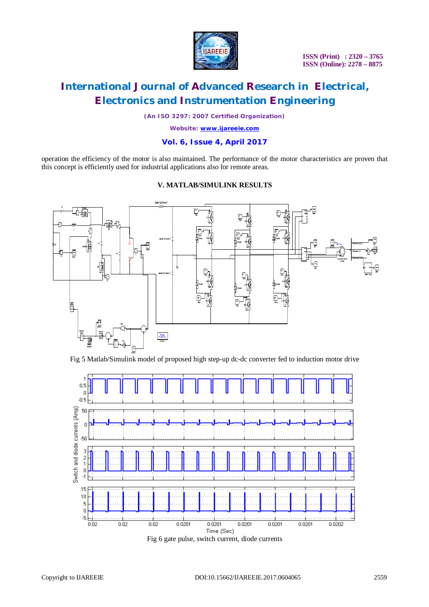

*(An ISO 3297: 2007 Certified Organization)*

*Website: [www.ijareeie.com](http://www.ijareeie.com)*

### **Vol. 6, Issue 4, April 2017**

operation the efficiency of the motor is also maintained. The performance of the motor characteristics are proven that this concept is efficiently used for industrial applications also for remote areas.

### **V. MATLAB/SIMULINK RESULTS**



Fig 5 Matlab/Simulink model of proposed high step-up dc-dc converter fed to induction motor drive

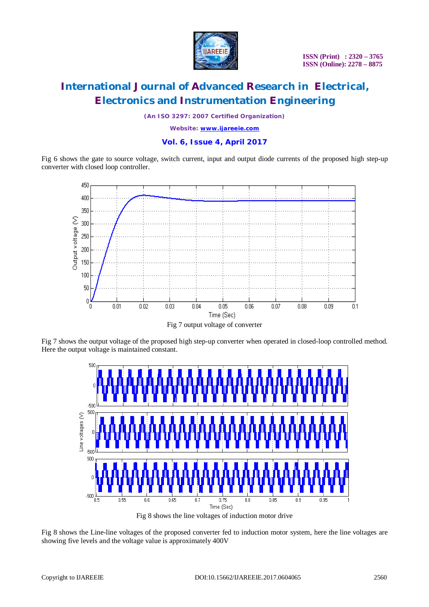

*(An ISO 3297: 2007 Certified Organization)*

*Website: [www.ijareeie.com](http://www.ijareeie.com)*

#### **Vol. 6, Issue 4, April 2017**

Fig 6 shows the gate to source voltage, switch current, input and output diode currents of the proposed high step-up converter with closed loop controller.



Fig 7 shows the output voltage of the proposed high step-up converter when operated in closed-loop controlled method. Here the output voltage is maintained constant.



Fig 8 shows the line voltages of induction motor drive

Fig 8 shows the Line-line voltages of the proposed converter fed to induction motor system, here the line voltages are showing five levels and the voltage value is approximately 400V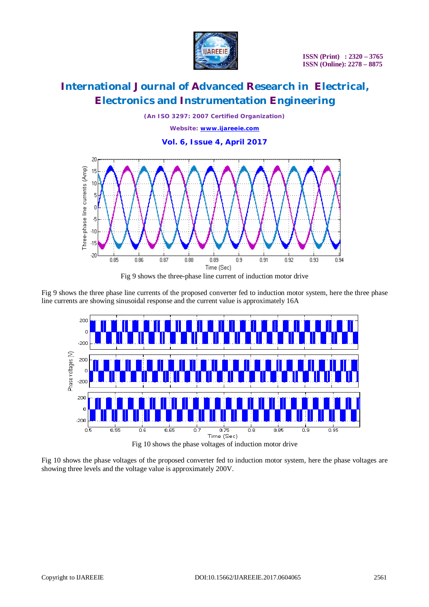

*(An ISO 3297: 2007 Certified Organization) Website: [www.ijareeie.com](http://www.ijareeie.com)* **Vol. 6, Issue 4, April 2017**



Fig 9 shows the three-phase line current of induction motor drive

Fig 9 shows the three phase line currents of the proposed converter fed to induction motor system, here the three phase line currents are showing sinusoidal response and the current value is approximately 16A



Fig 10 shows the phase voltages of the proposed converter fed to induction motor system, here the phase voltages are showing three levels and the voltage value is approximately 200V.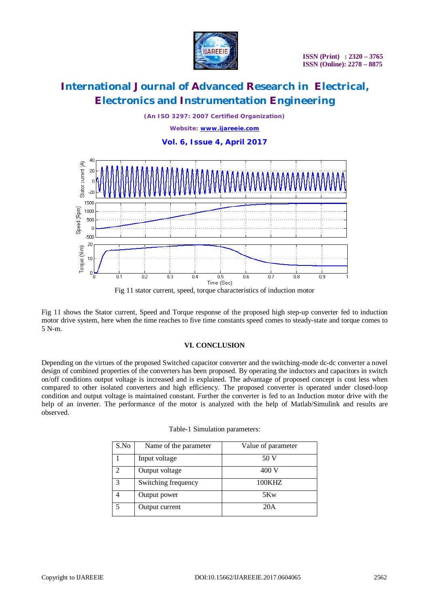

*(An ISO 3297: 2007 Certified Organization) Website: [www.ijareeie.com](http://www.ijareeie.com)* **Vol. 6, Issue 4, April 2017**



Fig 11 shows the Stator current, Speed and Torque response of the proposed high step-up converter fed to induction motor drive system, here when the time reaches to five time constants speed comes to steady-state and torque comes to 5 N-m.

### **VI. CONCLUSION**

Depending on the virtues of the proposed Switched capacitor converter and the switching-mode dc-dc converter a novel design of combined properties of the converters has been proposed. By operating the inductors and capacitors in switch on/off conditions output voltage is increased and is explained. The advantage of proposed concept is cost less when compared to other isolated converters and high efficiency. The proposed converter is operated under closed-loop condition and output voltage is maintained constant. Further the converter is fed to an Induction motor drive with the help of an inverter. The performance of the motor is analyzed with the help of Matlab/Simulink and results are observed.

| S.No | Name of the parameter | Value of parameter |
|------|-----------------------|--------------------|
|      | Input voltage         | 50 V               |
| っ    | Output voltage        | 400 V              |
| 3    | Switching frequency   | 100KHZ             |
|      | Output power          | 5Kw                |
| 5    | Output current        | 20A                |

Table-1 Simulation parameters: